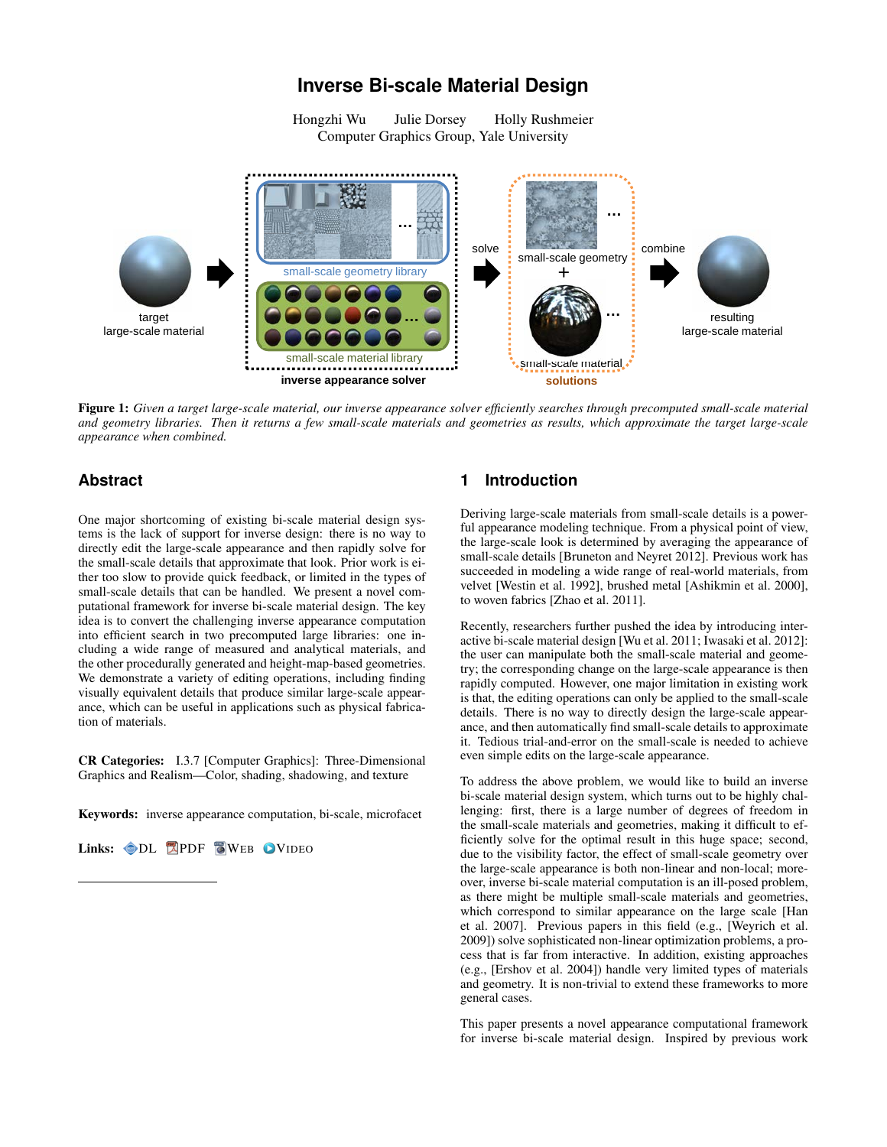# **Inverse Bi-scale Material Design**

Hongzhi Wu Julie Dorsey Holly Rushmeier Computer Graphics Group, Yale University



Figure 1: *Given a target large-scale material, our inverse appearance solver efficiently searches through precomputed small-scale material and geometry libraries. Then it returns a few small-scale materials and geometries as results, which approximate the target large-scale appearance when combined.*

## **Abstract**

One major shortcoming of existing bi-scale material design systems is the lack of support for inverse design: there is no way to directly edit the large-scale appearance and then rapidly solve for the small-scale details that approximate that look. Prior work is either too slow to provide quick feedback, or limited in the types of small-scale details that can be handled. We present a novel computational framework for inverse bi-scale material design. The key idea is to convert the challenging inverse appearance computation into efficient search in two precomputed large libraries: one including a wide range of measured and analytical materials, and the other procedurally generated and height-map-based geometries. We demonstrate a variety of editing operations, including finding visually equivalent details that produce similar large-scale appearance, which can be useful in applications such as physical fabrication of materials.

CR Categories: I.3.7 [Computer Graphics]: Three-Dimensional Graphics and Realism—Color, shading, shadowing, and texture

Keywords: inverse appearance computation, bi-scale, microfacet

Links: OL A[PDF](http://portal.acm.org/ft_gateway.cfm?id=2508394&type=pdf) [W](http://www.cad.zju.edu.cn/home/hwu/publications/InvBiscale/project.html)EB OV[IDEO](http://www.cad.zju.edu.cn/home/hwu/publications/InvBiscale/invbiscale.mp4)

# **1 Introduction**

Deriving large-scale materials from small-scale details is a powerful appearance modeling technique. From a physical point of view, the large-scale look is determined by averaging the appearance of small-scale details [\[Bruneton and Neyret 2012\]](#page-8-0). Previous work has succeeded in modeling a wide range of real-world materials, from velvet [\[Westin et al. 1992\]](#page-9-0), brushed metal [\[Ashikmin et al. 2000\]](#page-8-1), to woven fabrics [\[Zhao et al. 2011\]](#page-9-1).

Recently, researchers further pushed the idea by introducing interactive bi-scale material design [\[Wu et al. 2011;](#page-9-2) [Iwasaki et al. 2012\]](#page-9-3): the user can manipulate both the small-scale material and geometry; the corresponding change on the large-scale appearance is then rapidly computed. However, one major limitation in existing work is that, the editing operations can only be applied to the small-scale details. There is no way to directly design the large-scale appearance, and then automatically find small-scale details to approximate it. Tedious trial-and-error on the small-scale is needed to achieve even simple edits on the large-scale appearance.

To address the above problem, we would like to build an inverse bi-scale material design system, which turns out to be highly challenging: first, there is a large number of degrees of freedom in the small-scale materials and geometries, making it difficult to efficiently solve for the optimal result in this huge space; second, due to the visibility factor, the effect of small-scale geometry over the large-scale appearance is both non-linear and non-local; moreover, inverse bi-scale material computation is an ill-posed problem, as there might be multiple small-scale materials and geometries, which correspond to similar appearance on the large scale [\[Han](#page-9-4) [et al. 2007\]](#page-9-4). Previous papers in this field (e.g., [\[Weyrich et al.](#page-9-5) [2009\]](#page-9-5)) solve sophisticated non-linear optimization problems, a process that is far from interactive. In addition, existing approaches (e.g., [\[Ershov et al. 2004\]](#page-9-6)) handle very limited types of materials and geometry. It is non-trivial to extend these frameworks to more general cases.

This paper presents a novel appearance computational framework for inverse bi-scale material design. Inspired by previous work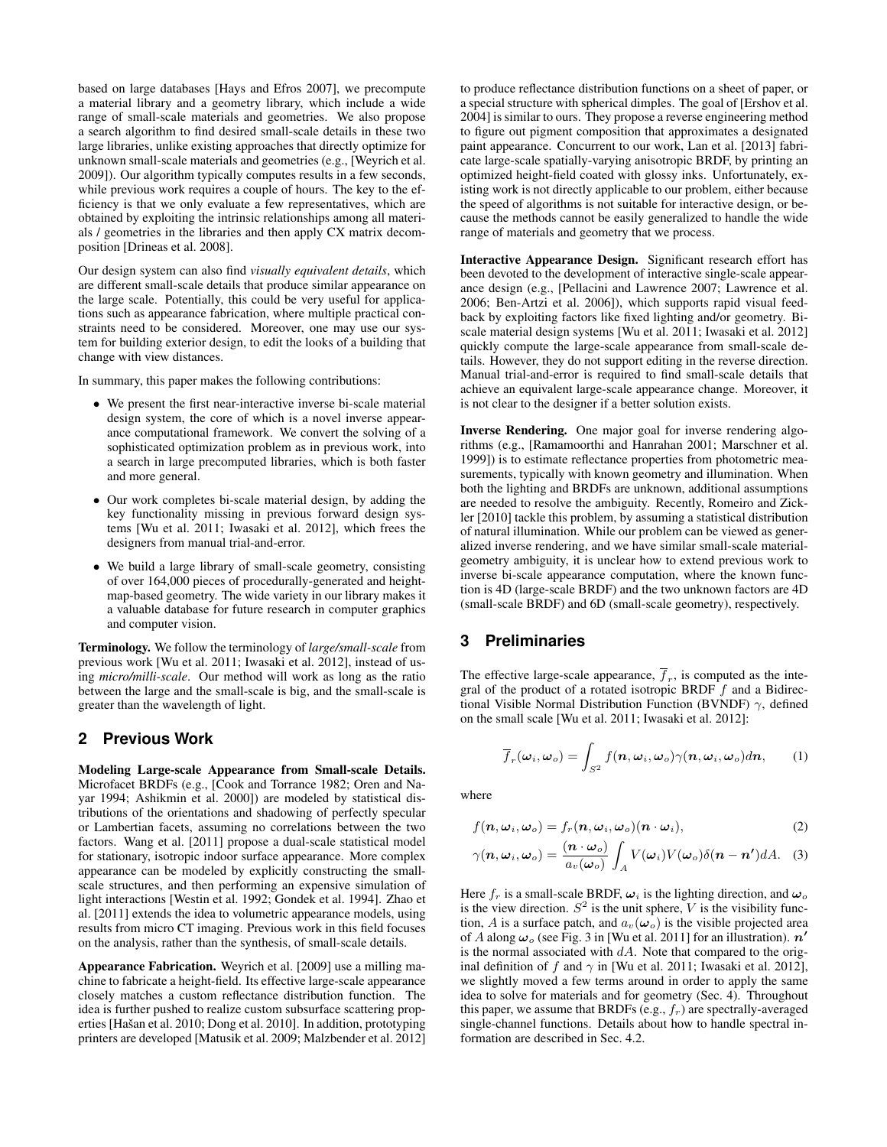based on large databases [\[Hays and Efros 2007\]](#page-9-7), we precompute a material library and a geometry library, which include a wide range of small-scale materials and geometries. We also propose a search algorithm to find desired small-scale details in these two large libraries, unlike existing approaches that directly optimize for unknown small-scale materials and geometries (e.g., [\[Weyrich et al.](#page-9-5) [2009\]](#page-9-5)). Our algorithm typically computes results in a few seconds, while previous work requires a couple of hours. The key to the efficiency is that we only evaluate a few representatives, which are obtained by exploiting the intrinsic relationships among all materials / geometries in the libraries and then apply CX matrix decomposition [\[Drineas et al. 2008\]](#page-8-2).

Our design system can also find *visually equivalent details*, which are different small-scale details that produce similar appearance on the large scale. Potentially, this could be very useful for applications such as appearance fabrication, where multiple practical constraints need to be considered. Moreover, one may use our system for building exterior design, to edit the looks of a building that change with view distances.

In summary, this paper makes the following contributions:

- We present the first near-interactive inverse bi-scale material design system, the core of which is a novel inverse appearance computational framework. We convert the solving of a sophisticated optimization problem as in previous work, into a search in large precomputed libraries, which is both faster and more general.
- Our work completes bi-scale material design, by adding the key functionality missing in previous forward design systems [\[Wu et al. 2011;](#page-9-2) [Iwasaki et al. 2012\]](#page-9-3), which frees the designers from manual trial-and-error.
- We build a large library of small-scale geometry, consisting of over 164,000 pieces of procedurally-generated and heightmap-based geometry. The wide variety in our library makes it a valuable database for future research in computer graphics and computer vision.

Terminology. We follow the terminology of *large/small-scale* from previous work [\[Wu et al. 2011;](#page-9-2) [Iwasaki et al. 2012\]](#page-9-3), instead of using *micro/milli-scale*. Our method will work as long as the ratio between the large and the small-scale is big, and the small-scale is greater than the wavelength of light.

## **2 Previous Work**

Modeling Large-scale Appearance from Small-scale Details. Microfacet BRDFs (e.g., [\[Cook and Torrance 1982;](#page-8-3) [Oren and Na](#page-9-8)[yar 1994;](#page-9-8) [Ashikmin et al. 2000\]](#page-8-1)) are modeled by statistical distributions of the orientations and shadowing of perfectly specular or Lambertian facets, assuming no correlations between the two factors. Wang et al. [\[2011\]](#page-9-9) propose a dual-scale statistical model for stationary, isotropic indoor surface appearance. More complex appearance can be modeled by explicitly constructing the smallscale structures, and then performing an expensive simulation of light interactions [\[Westin et al. 1992;](#page-9-0) [Gondek et al. 1994\]](#page-9-10). Zhao et al. [\[2011\]](#page-9-1) extends the idea to volumetric appearance models, using results from micro CT imaging. Previous work in this field focuses on the analysis, rather than the synthesis, of small-scale details.

Appearance Fabrication. Weyrich et al. [\[2009\]](#page-9-5) use a milling machine to fabricate a height-field. Its effective large-scale appearance closely matches a custom reflectance distribution function. The idea is further pushed to realize custom subsurface scattering prop-erties [Hašan et al. 2010; [Dong et al. 2010\]](#page-8-4). In addition, prototyping printers are developed [\[Matusik et al. 2009;](#page-9-12) [Malzbender et al. 2012\]](#page-9-13) to produce reflectance distribution functions on a sheet of paper, or a special structure with spherical dimples. The goal of [\[Ershov et al.](#page-9-6) [2004\]](#page-9-6) is similar to ours. They propose a reverse engineering method to figure out pigment composition that approximates a designated paint appearance. Concurrent to our work, Lan et al. [\[2013\]](#page-9-14) fabricate large-scale spatially-varying anisotropic BRDF, by printing an optimized height-field coated with glossy inks. Unfortunately, existing work is not directly applicable to our problem, either because the speed of algorithms is not suitable for interactive design, or because the methods cannot be easily generalized to handle the wide range of materials and geometry that we process.

Interactive Appearance Design. Significant research effort has been devoted to the development of interactive single-scale appearance design (e.g., [\[Pellacini and Lawrence 2007;](#page-9-15) [Lawrence et al.](#page-9-16) [2006;](#page-9-16) [Ben-Artzi et al. 2006\]](#page-8-5)), which supports rapid visual feedback by exploiting factors like fixed lighting and/or geometry. Biscale material design systems [\[Wu et al. 2011;](#page-9-2) [Iwasaki et al. 2012\]](#page-9-3) quickly compute the large-scale appearance from small-scale details. However, they do not support editing in the reverse direction. Manual trial-and-error is required to find small-scale details that achieve an equivalent large-scale appearance change. Moreover, it is not clear to the designer if a better solution exists.

Inverse Rendering. One major goal for inverse rendering algorithms (e.g., [\[Ramamoorthi and Hanrahan 2001;](#page-9-17) [Marschner et al.](#page-9-18) [1999\]](#page-9-18)) is to estimate reflectance properties from photometric measurements, typically with known geometry and illumination. When both the lighting and BRDFs are unknown, additional assumptions are needed to resolve the ambiguity. Recently, Romeiro and Zickler [\[2010\]](#page-9-19) tackle this problem, by assuming a statistical distribution of natural illumination. While our problem can be viewed as generalized inverse rendering, and we have similar small-scale materialgeometry ambiguity, it is unclear how to extend previous work to inverse bi-scale appearance computation, where the known function is 4D (large-scale BRDF) and the two unknown factors are 4D (small-scale BRDF) and 6D (small-scale geometry), respectively.

## **3 Preliminaries**

The effective large-scale appearance,  $f_r$ , is computed as the integral of the product of a rotated isotropic BRDF  $f$  and a Bidirectional Visible Normal Distribution Function (BVNDF)  $\gamma$ , defined on the small scale [\[Wu et al. 2011;](#page-9-2) [Iwasaki et al. 2012\]](#page-9-3):

<span id="page-1-2"></span><span id="page-1-1"></span><span id="page-1-0"></span>
$$
\overline{f}_r(\boldsymbol{\omega}_i, \boldsymbol{\omega}_o) = \int_{S^2} f(\boldsymbol{n}, \boldsymbol{\omega}_i, \boldsymbol{\omega}_o) \gamma(\boldsymbol{n}, \boldsymbol{\omega}_i, \boldsymbol{\omega}_o) d\boldsymbol{n}, \qquad (1)
$$

where

$$
f(\boldsymbol{n},\boldsymbol{\omega}_i,\boldsymbol{\omega}_o)=f_r(\boldsymbol{n},\boldsymbol{\omega}_i,\boldsymbol{\omega}_o)(\boldsymbol{n}\cdot\boldsymbol{\omega}_i),
$$
\n(2)

$$
\gamma(\boldsymbol{n},\boldsymbol{\omega}_i,\boldsymbol{\omega}_o)=\frac{(\boldsymbol{n}\cdot\boldsymbol{\omega}_o)}{a_v(\boldsymbol{\omega}_o)}\int_A V(\boldsymbol{\omega}_i)V(\boldsymbol{\omega}_o)\delta(\boldsymbol{n}-\boldsymbol{n}')dA. \quad (3)
$$

Here  $f_r$  is a small-scale BRDF,  $\omega_i$  is the lighting direction, and  $\omega_o$ is the view direction.  $S^2$  is the unit sphere, V is the visibility function, A is a surface patch, and  $a_v(\omega_o)$  is the visible projected area of A along  $\omega_o$  (see Fig. 3 in [\[Wu et al. 2011\]](#page-9-2) for an illustration).  $n'$ is the normal associated with  $dA$ . Note that compared to the original definition of f and  $\gamma$  in [\[Wu et al. 2011;](#page-9-2) [Iwasaki et al. 2012\]](#page-9-3), we slightly moved a few terms around in order to apply the same idea to solve for materials and for geometry (Sec. [4\)](#page-2-0). Throughout this paper, we assume that BRDFs (e.g.,  $f_r$ ) are spectrally-averaged single-channel functions. Details about how to handle spectral information are described in Sec. [4.2.](#page-3-0)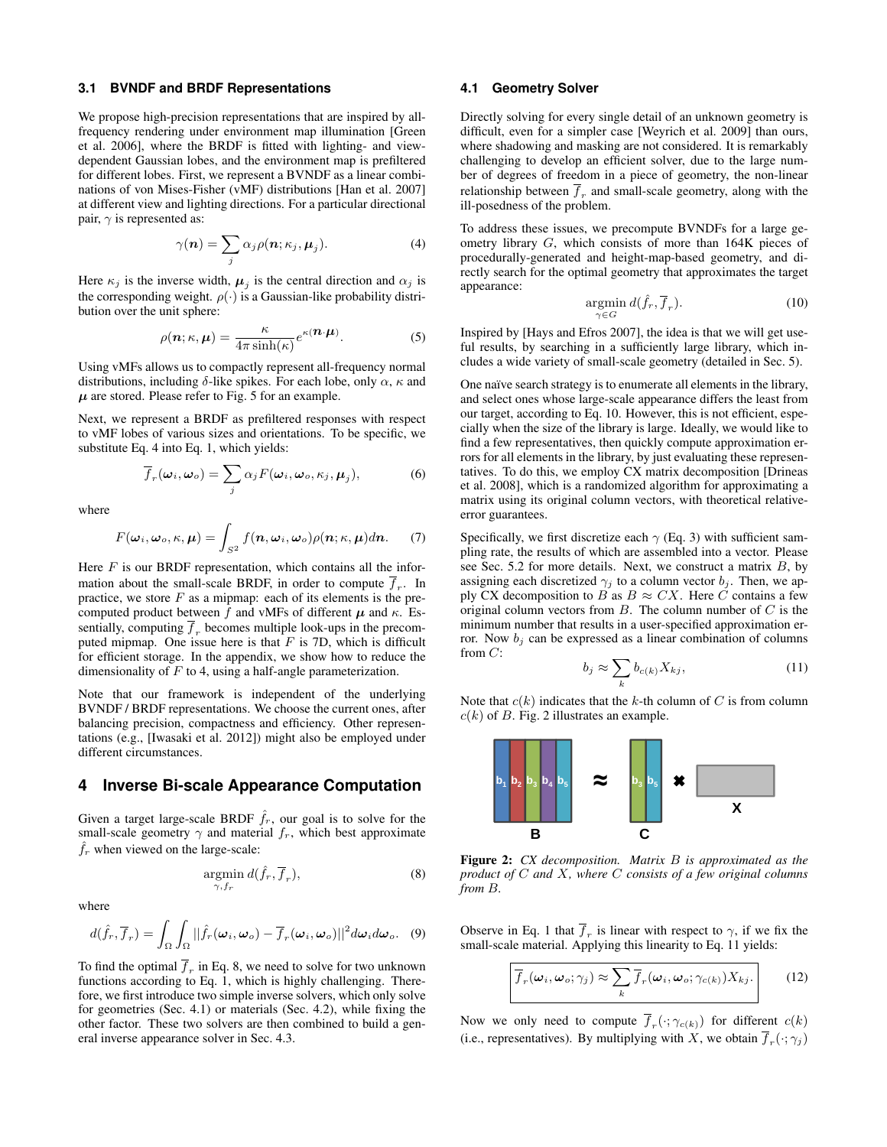#### **3.1 BVNDF and BRDF Representations**

We propose high-precision representations that are inspired by allfrequency rendering under environment map illumination [\[Green](#page-9-20) [et al. 2006\]](#page-9-20), where the BRDF is fitted with lighting- and viewdependent Gaussian lobes, and the environment map is prefiltered for different lobes. First, we represent a BVNDF as a linear combinations of von Mises-Fisher (vMF) distributions [\[Han et al. 2007\]](#page-9-4) at different view and lighting directions. For a particular directional pair,  $\gamma$  is represented as:

<span id="page-2-1"></span>
$$
\gamma(\boldsymbol{n}) = \sum_{j} \alpha_{j} \rho(\boldsymbol{n}; \kappa_{j}, \boldsymbol{\mu}_{j}). \tag{4}
$$

Here  $\kappa_j$  is the inverse width,  $\mu_j$  is the central direction and  $\alpha_j$  is the corresponding weight.  $\rho(\cdot)$  is a Gaussian-like probability distribution over the unit sphere:

$$
\rho(\mathbf{n}; \kappa, \mathbf{\mu}) = \frac{\kappa}{4\pi \sinh(\kappa)} e^{\kappa(\mathbf{n} \cdot \mathbf{\mu})}.
$$
 (5)

Using vMFs allows us to compactly represent all-frequency normal distributions, including  $\delta$ -like spikes. For each lobe, only  $\alpha$ ,  $\kappa$  and  $\mu$  are stored. Please refer to Fig. [5](#page-4-0) for an example.

Next, we represent a BRDF as prefiltered responses with respect to vMF lobes of various sizes and orientations. To be specific, we substitute Eq. [4](#page-2-1) into Eq. [1,](#page-1-0) which yields:

$$
\overline{f}_r(\boldsymbol{\omega}_i, \boldsymbol{\omega}_o) = \sum_j \alpha_j F(\boldsymbol{\omega}_i, \boldsymbol{\omega}_o, \kappa_j, \boldsymbol{\mu}_j),
$$
(6)

where

<span id="page-2-9"></span>
$$
F(\boldsymbol{\omega}_i, \boldsymbol{\omega}_o, \kappa, \boldsymbol{\mu}) = \int_{S^2} f(\boldsymbol{n}, \boldsymbol{\omega}_i, \boldsymbol{\omega}_o) \rho(\boldsymbol{n}; \kappa, \boldsymbol{\mu}) d\boldsymbol{n}.
$$
 (7)

Here  $F$  is our BRDF representation, which contains all the information about the small-scale BRDF, in order to compute  $f_r$ . In practice, we store  $F$  as a mipmap: each of its elements is the precomputed product between  $\hat{f}$  and vMFs of different  $\mu$  and  $\kappa$ . Essentially, computing  $\overline{f}_r$  becomes multiple look-ups in the precomputed mipmap. One issue here is that  $F$  is 7D, which is difficult for efficient storage. In the appendix, we show how to reduce the dimensionality of  $F$  to 4, using a half-angle parameterization.

Note that our framework is independent of the underlying BVNDF / BRDF representations. We choose the current ones, after balancing precision, compactness and efficiency. Other representations (e.g., [\[Iwasaki et al. 2012\]](#page-9-3)) might also be employed under different circumstances.

#### <span id="page-2-0"></span>**4 Inverse Bi-scale Appearance Computation**

Given a target large-scale BRDF  $\hat{f}_r$ , our goal is to solve for the small-scale geometry  $\gamma$  and material  $f_r$ , which best approximate  $\hat{f}_r$  when viewed on the large-scale:

<span id="page-2-2"></span>
$$
\underset{\gamma, f_r}{\text{argmin}} \, d(\hat{f}_r, \overline{f}_r),\tag{8}
$$

where

<span id="page-2-7"></span>
$$
d(\hat{f}_r, \overline{f}_r) = \int_{\Omega} \int_{\Omega} ||\hat{f}_r(\boldsymbol{\omega}_i, \boldsymbol{\omega}_o) - \overline{f}_r(\boldsymbol{\omega}_i, \boldsymbol{\omega}_o)||^2 d\boldsymbol{\omega}_i d\boldsymbol{\omega}_o. \quad (9)
$$

To find the optimal  $f_r$  in Eq. [8,](#page-2-2) we need to solve for two unknown functions according to Eq. [1,](#page-1-0) which is highly challenging. Therefore, we first introduce two simple inverse solvers, which only solve for geometries (Sec. [4.1\)](#page-2-3) or materials (Sec. [4.2\)](#page-3-0), while fixing the other factor. These two solvers are then combined to build a general inverse appearance solver in Sec. [4.3.](#page-3-1)

### <span id="page-2-3"></span>**4.1 Geometry Solver**

Directly solving for every single detail of an unknown geometry is difficult, even for a simpler case [\[Weyrich et al. 2009\]](#page-9-5) than ours, where shadowing and masking are not considered. It is remarkably challenging to develop an efficient solver, due to the large number of degrees of freedom in a piece of geometry, the non-linear relationship between  $f_r$  and small-scale geometry, along with the ill-posedness of the problem.

To address these issues, we precompute BVNDFs for a large geometry library G, which consists of more than 164K pieces of procedurally-generated and height-map-based geometry, and directly search for the optimal geometry that approximates the target appearance:

<span id="page-2-4"></span>
$$
\underset{\gamma \in G}{\operatorname{argmin}} d(\hat{f}_r, \overline{f}_r). \tag{10}
$$

Inspired by [\[Hays and Efros 2007\]](#page-9-7), the idea is that we will get useful results, by searching in a sufficiently large library, which includes a wide variety of small-scale geometry (detailed in Sec. [5\)](#page-3-2).

One naïve search strategy is to enumerate all elements in the library, and select ones whose large-scale appearance differs the least from our target, according to Eq. [10.](#page-2-4) However, this is not efficient, especially when the size of the library is large. Ideally, we would like to find a few representatives, then quickly compute approximation errors for all elements in the library, by just evaluating these representatives. To do this, we employ CX matrix decomposition [\[Drineas](#page-8-2) [et al. 2008\]](#page-8-2), which is a randomized algorithm for approximating a matrix using its original column vectors, with theoretical relativeerror guarantees.

Specifically, we first discretize each  $\gamma$  (Eq. [3\)](#page-1-1) with sufficient sampling rate, the results of which are assembled into a vector. Please see Sec. [5.2](#page-3-3) for more details. Next, we construct a matrix  $B$ , by assigning each discretized  $\gamma_j$  to a column vector  $b_j$ . Then, we apply CX decomposition to B as  $B \approx C X$ . Here C contains a few original column vectors from  $B$ . The column number of  $C$  is the minimum number that results in a user-specified approximation error. Now  $b_i$  can be expressed as a linear combination of columns from C:

$$
b_j \approx \sum_k b_{c(k)} X_{kj},\tag{11}
$$

<span id="page-2-6"></span>Note that  $c(k)$  indicates that the k-th column of C is from column  $c(k)$  of B. Fig. [2](#page-2-5) illustrates an example.

<span id="page-2-5"></span>

Figure 2: *CX decomposition. Matrix* B *is approximated as the product of* C *and* X*, where* C *consists of a few original columns from* B*.*

Observe in Eq. [1](#page-1-0) that  $f_r$  is linear with respect to  $\gamma$ , if we fix the small-scale material. Applying this linearity to Eq. [11](#page-2-6) yields:

<span id="page-2-8"></span>
$$
\overline{f}_r(\boldsymbol{\omega}_i, \boldsymbol{\omega}_o; \gamma_j) \approx \sum_k \overline{f}_r(\boldsymbol{\omega}_i, \boldsymbol{\omega}_o; \gamma_{c(k)}) X_{kj}.
$$
 (12)

Now we only need to compute  $\overline{f}_r(\cdot; \gamma_{c(k)})$  for different  $c(k)$ (i.e., representatives). By multiplying with X, we obtain  $f_r(\cdot; \gamma_j)$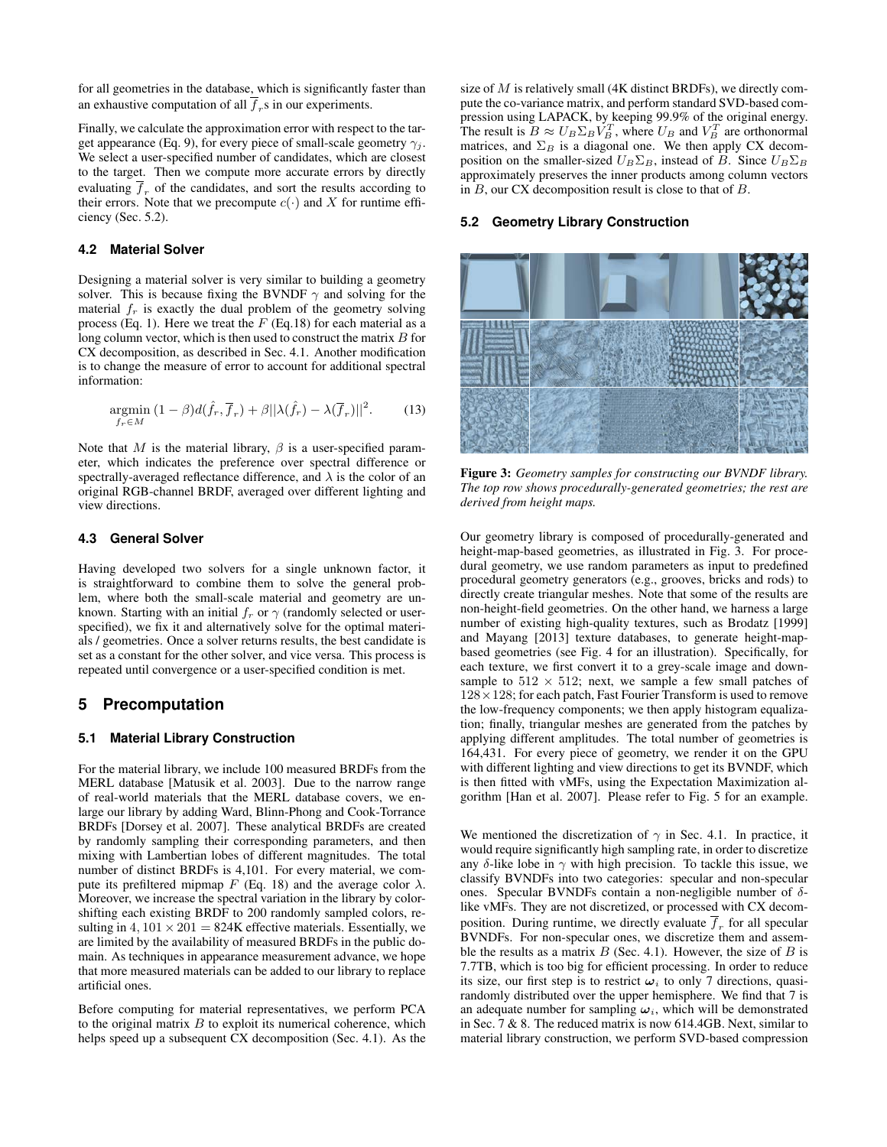for all geometries in the database, which is significantly faster than an exhaustive computation of all  $f<sub>r</sub>$ s in our experiments.

Finally, we calculate the approximation error with respect to the tar-get appearance (Eq. [9\)](#page-2-7), for every piece of small-scale geometry  $\gamma_i$ . We select a user-specified number of candidates, which are closest to the target. Then we compute more accurate errors by directly evaluating  $\bar{f}_r$  of the candidates, and sort the results according to their errors. Note that we precompute  $c(\cdot)$  and X for runtime efficiency (Sec. [5.2\)](#page-3-3).

#### <span id="page-3-0"></span>**4.2 Material Solver**

Designing a material solver is very similar to building a geometry solver. This is because fixing the BVNDF  $\gamma$  and solving for the material  $f<sub>r</sub>$  is exactly the dual problem of the geometry solving process (Eq. [1\)](#page-1-0). Here we treat the  $F$  (Eq[.18\)](#page-9-21) for each material as a long column vector, which is then used to construct the matrix  $B$  for CX decomposition, as described in Sec. [4.1.](#page-2-3) Another modification is to change the measure of error to account for additional spectral information:

$$
\underset{f_r \in M}{\text{argmin}} \left(1 - \beta \right) d(\hat{f}_r, \overline{f}_r) + \beta \|\lambda(\hat{f}_r) - \lambda(\overline{f}_r)\|^2. \tag{13}
$$

Note that M is the material library,  $\beta$  is a user-specified parameter, which indicates the preference over spectral difference or spectrally-averaged reflectance difference, and  $\lambda$  is the color of an original RGB-channel BRDF, averaged over different lighting and view directions.

#### <span id="page-3-1"></span>**4.3 General Solver**

Having developed two solvers for a single unknown factor, it is straightforward to combine them to solve the general problem, where both the small-scale material and geometry are unknown. Starting with an initial  $f_r$  or  $\gamma$  (randomly selected or userspecified), we fix it and alternatively solve for the optimal materials / geometries. Once a solver returns results, the best candidate is set as a constant for the other solver, and vice versa. This process is repeated until convergence or a user-specified condition is met.

### <span id="page-3-2"></span>**5 Precomputation**

### <span id="page-3-5"></span>**5.1 Material Library Construction**

For the material library, we include 100 measured BRDFs from the MERL database [\[Matusik et al. 2003\]](#page-9-22). Due to the narrow range of real-world materials that the MERL database covers, we enlarge our library by adding Ward, Blinn-Phong and Cook-Torrance BRDFs [\[Dorsey et al. 2007\]](#page-8-6). These analytical BRDFs are created by randomly sampling their corresponding parameters, and then mixing with Lambertian lobes of different magnitudes. The total number of distinct BRDFs is 4,101. For every material, we com-pute its prefiltered mipmap F (Eq. [18\)](#page-9-21) and the average color  $\lambda$ . Moreover, we increase the spectral variation in the library by colorshifting each existing BRDF to 200 randomly sampled colors, resulting in  $4, 101 \times 201 = 824K$  effective materials. Essentially, we are limited by the availability of measured BRDFs in the public domain. As techniques in appearance measurement advance, we hope that more measured materials can be added to our library to replace artificial ones.

Before computing for material representatives, we perform PCA to the original matrix  $B$  to exploit its numerical coherence, which helps speed up a subsequent CX decomposition (Sec. [4.1\)](#page-2-3). As the size of  $M$  is relatively small (4K distinct BRDFs), we directly compute the co-variance matrix, and perform standard SVD-based compression using LAPACK, by keeping 99.9% of the original energy. The result is  $B \approx U_B \Sigma_B V_B^T$ , where  $U_B$  and  $V_B^T$  are orthonormal matrices, and  $\Sigma_B$  is a diagonal one. We then apply CX decomposition on the smaller-sized  $U_B \Sigma_B$ , instead of B. Since  $U_B \Sigma_B$ approximately preserves the inner products among column vectors in B, our CX decomposition result is close to that of B.

### <span id="page-3-3"></span>**5.2 Geometry Library Construction**

<span id="page-3-4"></span>

Figure 3: *Geometry samples for constructing our BVNDF library. The top row shows procedurally-generated geometries; the rest are derived from height maps.*

Our geometry library is composed of procedurally-generated and height-map-based geometries, as illustrated in Fig. [3.](#page-3-4) For procedural geometry, we use random parameters as input to predefined procedural geometry generators (e.g., grooves, bricks and rods) to directly create triangular meshes. Note that some of the results are non-height-field geometries. On the other hand, we harness a large number of existing high-quality textures, such as Brodatz [\[1999\]](#page-8-7) and Mayang [\[2013\]](#page-9-23) texture databases, to generate height-mapbased geometries (see Fig. [4](#page-4-1) for an illustration). Specifically, for each texture, we first convert it to a grey-scale image and downsample to  $512 \times 512$ ; next, we sample a few small patches of  $128 \times 128$ ; for each patch, Fast Fourier Transform is used to remove the low-frequency components; we then apply histogram equalization; finally, triangular meshes are generated from the patches by applying different amplitudes. The total number of geometries is 164,431. For every piece of geometry, we render it on the GPU with different lighting and view directions to get its BVNDF, which is then fitted with vMFs, using the Expectation Maximization algorithm [\[Han et al. 2007\]](#page-9-4). Please refer to Fig. [5](#page-4-0) for an example.

We mentioned the discretization of  $\gamma$  in Sec. [4.1.](#page-2-3) In practice, it would require significantly high sampling rate, in order to discretize any δ-like lobe in  $\gamma$  with high precision. To tackle this issue, we classify BVNDFs into two categories: specular and non-specular ones. Specular BVNDFs contain a non-negligible number of δlike vMFs. They are not discretized, or processed with CX decomposition. During runtime, we directly evaluate  $f<sub>r</sub>$  for all specular BVNDFs. For non-specular ones, we discretize them and assemble the results as a matrix  $B$  (Sec. [4.1\)](#page-2-3). However, the size of  $B$  is 7.7TB, which is too big for efficient processing. In order to reduce its size, our first step is to restrict  $\omega_i$  to only 7 directions, quasirandomly distributed over the upper hemisphere. We find that 7 is an adequate number for sampling  $\omega_i$ , which will be demonstrated in Sec. [7](#page-4-2) & [8.](#page-6-0) The reduced matrix is now 614.4GB. Next, similar to material library construction, we perform SVD-based compression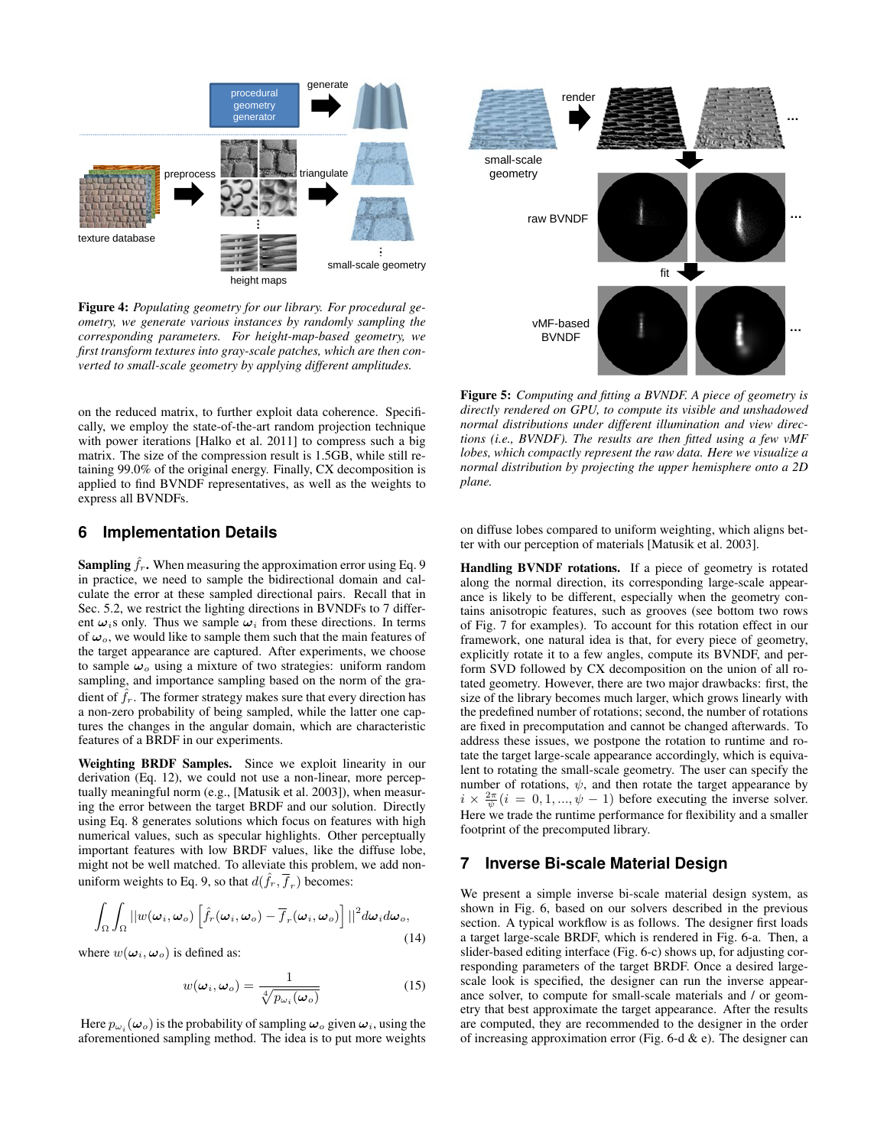<span id="page-4-1"></span>

Figure 4: *Populating geometry for our library. For procedural geometry, we generate various instances by randomly sampling the corresponding parameters. For height-map-based geometry, we first transform textures into gray-scale patches, which are then converted to small-scale geometry by applying different amplitudes.*

on the reduced matrix, to further exploit data coherence. Specifically, we employ the state-of-the-art random projection technique with power iterations [\[Halko et al. 2011\]](#page-9-24) to compress such a big matrix. The size of the compression result is 1.5GB, while still retaining 99.0% of the original energy. Finally, CX decomposition is applied to find BVNDF representatives, as well as the weights to express all BVNDFs.

## <span id="page-4-3"></span>**6 Implementation Details**

**Sampling**  $\hat{f}_r$ . When measuring the approximation error using Eq. [9](#page-2-7) in practice, we need to sample the bidirectional domain and calculate the error at these sampled directional pairs. Recall that in Sec. [5.2,](#page-3-3) we restrict the lighting directions in BVNDFs to 7 different  $\omega_i$ s only. Thus we sample  $\omega_i$  from these directions. In terms of  $\omega_o$ , we would like to sample them such that the main features of the target appearance are captured. After experiments, we choose to sample  $\omega_o$  using a mixture of two strategies: uniform random sampling, and importance sampling based on the norm of the gradient of  $f<sub>r</sub>$ . The former strategy makes sure that every direction has a non-zero probability of being sampled, while the latter one captures the changes in the angular domain, which are characteristic features of a BRDF in our experiments.

Weighting BRDF Samples. Since we exploit linearity in our derivation (Eq. [12\)](#page-2-8), we could not use a non-linear, more perceptually meaningful norm (e.g., [\[Matusik et al. 2003\]](#page-9-22)), when measuring the error between the target BRDF and our solution. Directly using Eq. [8](#page-2-2) generates solutions which focus on features with high numerical values, such as specular highlights. Other perceptually important features with low BRDF values, like the diffuse lobe, might not be well matched. To alleviate this problem, we add non-uniform weights to Eq. [9,](#page-2-7) so that  $d(\hat{f}_r, \overline{f}_r)$  becomes:

$$
\int_{\Omega}\int_{\Omega}||w(\boldsymbol{\omega}_{i},\boldsymbol{\omega}_{o})\left[\hat{f}_{r}(\boldsymbol{\omega}_{i},\boldsymbol{\omega}_{o})-\overline{f}_{r}(\boldsymbol{\omega}_{i},\boldsymbol{\omega}_{o})\right]||^{2}d\boldsymbol{\omega}_{i}d\boldsymbol{\omega}_{o},
$$
\n(14)

where  $w(\omega_i, \omega_o)$  is defined as:

$$
w(\boldsymbol{\omega}_i, \boldsymbol{\omega}_o) = \frac{1}{\sqrt[4]{p_{\omega_i}(\boldsymbol{\omega}_o)}}
$$
(15)

Here  $p_{\omega_i}(\omega_o)$  is the probability of sampling  $\omega_o$  given  $\omega_i$ , using the aforementioned sampling method. The idea is to put more weights

<span id="page-4-0"></span>

Figure 5: *Computing and fitting a BVNDF. A piece of geometry is directly rendered on GPU, to compute its visible and unshadowed normal distributions under different illumination and view directions (i.e., BVNDF). The results are then fitted using a few vMF lobes, which compactly represent the raw data. Here we visualize a normal distribution by projecting the upper hemisphere onto a 2D plane.*

on diffuse lobes compared to uniform weighting, which aligns better with our perception of materials [\[Matusik et al. 2003\]](#page-9-22).

Handling BVNDF rotations. If a piece of geometry is rotated along the normal direction, its corresponding large-scale appearance is likely to be different, especially when the geometry contains anisotropic features, such as grooves (see bottom two rows of Fig. [7](#page-5-0) for examples). To account for this rotation effect in our framework, one natural idea is that, for every piece of geometry, explicitly rotate it to a few angles, compute its BVNDF, and perform SVD followed by CX decomposition on the union of all rotated geometry. However, there are two major drawbacks: first, the size of the library becomes much larger, which grows linearly with the predefined number of rotations; second, the number of rotations are fixed in precomputation and cannot be changed afterwards. To address these issues, we postpone the rotation to runtime and rotate the target large-scale appearance accordingly, which is equivalent to rotating the small-scale geometry. The user can specify the number of rotations,  $\psi$ , and then rotate the target appearance by  $i \times \frac{2\pi}{\psi}(i = 0, 1, ..., \psi - 1)$  before executing the inverse solver. Here we trade the runtime performance for flexibility and a smaller footprint of the precomputed library.

## <span id="page-4-2"></span>**7 Inverse Bi-scale Material Design**

<span id="page-4-4"></span>We present a simple inverse bi-scale material design system, as shown in Fig. [6,](#page-5-1) based on our solvers described in the previous section. A typical workflow is as follows. The designer first loads a target large-scale BRDF, which is rendered in Fig. [6-](#page-5-1)a. Then, a slider-based editing interface (Fig. [6-](#page-5-1)c) shows up, for adjusting corresponding parameters of the target BRDF. Once a desired largescale look is specified, the designer can run the inverse appearance solver, to compute for small-scale materials and / or geometry that best approximate the target appearance. After the results are computed, they are recommended to the designer in the order of increasing approximation error (Fig. [6-](#page-5-1)d  $\&$  e). The designer can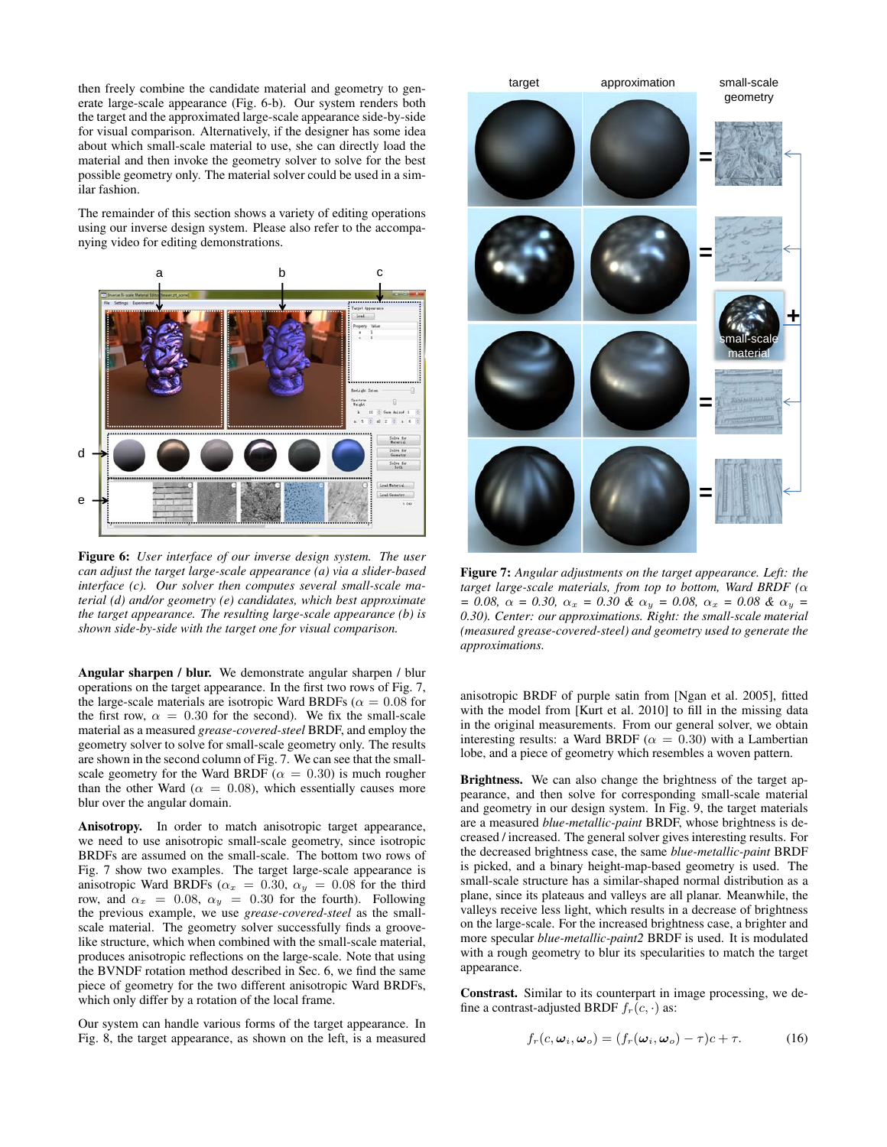then freely combine the candidate material and geometry to generate large-scale appearance (Fig. [6-](#page-5-1)b). Our system renders both the target and the approximated large-scale appearance side-by-side for visual comparison. Alternatively, if the designer has some idea about which small-scale material to use, she can directly load the material and then invoke the geometry solver to solve for the best possible geometry only. The material solver could be used in a similar fashion.

The remainder of this section shows a variety of editing operations using our inverse design system. Please also refer to the accompanying video for editing demonstrations.

<span id="page-5-1"></span>

Figure 6: *User interface of our inverse design system. The user can adjust the target large-scale appearance (a) via a slider-based interface (c). Our solver then computes several small-scale material (d) and/or geometry (e) candidates, which best approximate the target appearance. The resulting large-scale appearance (b) is shown side-by-side with the target one for visual comparison.*

Angular sharpen / blur. We demonstrate angular sharpen / blur operations on the target appearance. In the first two rows of Fig. [7,](#page-5-0) the large-scale materials are isotropic Ward BRDFs ( $\alpha = 0.08$  for the first row,  $\alpha = 0.30$  for the second). We fix the small-scale material as a measured *grease-covered-steel* BRDF, and employ the geometry solver to solve for small-scale geometry only. The results are shown in the second column of Fig. [7.](#page-5-0) We can see that the smallscale geometry for the Ward BRDF ( $\alpha = 0.30$ ) is much rougher than the other Ward ( $\alpha = 0.08$ ), which essentially causes more blur over the angular domain.

Anisotropy. In order to match anisotropic target appearance, we need to use anisotropic small-scale geometry, since isotropic BRDFs are assumed on the small-scale. The bottom two rows of Fig. [7](#page-5-0) show two examples. The target large-scale appearance is anisotropic Ward BRDFs ( $\alpha_x = 0.30$ ,  $\alpha_y = 0.08$  for the third row, and  $\alpha_x = 0.08$ ,  $\alpha_y = 0.30$  for the fourth). Following the previous example, we use *grease-covered-steel* as the smallscale material. The geometry solver successfully finds a groovelike structure, which when combined with the small-scale material, produces anisotropic reflections on the large-scale. Note that using the BVNDF rotation method described in Sec. [6,](#page-4-3) we find the same piece of geometry for the two different anisotropic Ward BRDFs, which only differ by a rotation of the local frame.

Our system can handle various forms of the target appearance. In Fig. [8,](#page-6-1) the target appearance, as shown on the left, is a measured

<span id="page-5-0"></span>

Figure 7: *Angular adjustments on the target appearance. Left: the target large-scale materials, from top to bottom, Ward BRDF (*α *= 0.08,* α *= 0.30,* α<sup>x</sup> *= 0.30 &* α<sup>y</sup> *= 0.08,* α<sup>x</sup> *= 0.08 &* α<sup>y</sup> *= 0.30). Center: our approximations. Right: the small-scale material (measured grease-covered-steel) and geometry used to generate the approximations.*

anisotropic BRDF of purple satin from [\[Ngan et al. 2005\]](#page-9-25), fitted with the model from [\[Kurt et al. 2010\]](#page-9-26) to fill in the missing data in the original measurements. From our general solver, we obtain interesting results: a Ward BRDF ( $\alpha = 0.30$ ) with a Lambertian lobe, and a piece of geometry which resembles a woven pattern.

Brightness. We can also change the brightness of the target appearance, and then solve for corresponding small-scale material and geometry in our design system. In Fig. [9,](#page-6-2) the target materials are a measured *blue-metallic-paint* BRDF, whose brightness is decreased / increased. The general solver gives interesting results. For the decreased brightness case, the same *blue-metallic-paint* BRDF is picked, and a binary height-map-based geometry is used. The small-scale structure has a similar-shaped normal distribution as a plane, since its plateaus and valleys are all planar. Meanwhile, the valleys receive less light, which results in a decrease of brightness on the large-scale. For the increased brightness case, a brighter and more specular *blue-metallic-paint2* BRDF is used. It is modulated with a rough geometry to blur its specularities to match the target appearance.

Constrast. Similar to its counterpart in image processing, we define a contrast-adjusted BRDF  $f_r(c, \cdot)$  as:

$$
f_r(c, \omega_i, \omega_o) = (f_r(\omega_i, \omega_o) - \tau)c + \tau.
$$
 (16)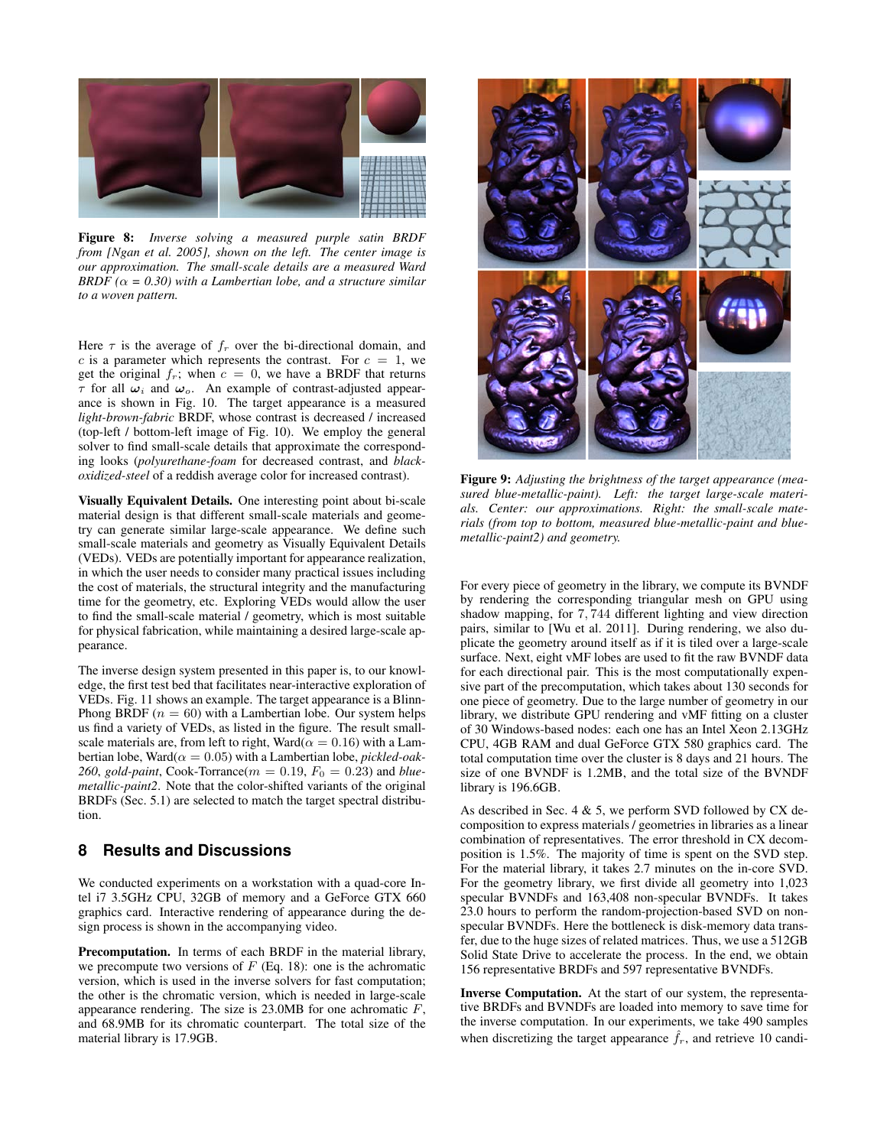<span id="page-6-1"></span>

Figure 8: *Inverse solving a measured purple satin BRDF from [\[Ngan et al. 2005\]](#page-9-25), shown on the left. The center image is our approximation. The small-scale details are a measured Ward BRDF* ( $\alpha$  = 0.30) with a Lambertian lobe, and a structure similar *to a woven pattern.*

Here  $\tau$  is the average of  $f_r$  over the bi-directional domain, and c is a parameter which represents the contrast. For  $c = 1$ , we get the original  $f_r$ ; when  $c = 0$ , we have a BRDF that returns  $\tau$  for all  $\omega_i$  and  $\omega_o$ . An example of contrast-adjusted appearance is shown in Fig. [10.](#page-8-8) The target appearance is a measured *light-brown-fabric* BRDF, whose contrast is decreased / increased (top-left / bottom-left image of Fig. [10\)](#page-8-8). We employ the general solver to find small-scale details that approximate the corresponding looks (*polyurethane-foam* for decreased contrast, and *blackoxidized-steel* of a reddish average color for increased contrast).

Visually Equivalent Details. One interesting point about bi-scale material design is that different small-scale materials and geometry can generate similar large-scale appearance. We define such small-scale materials and geometry as Visually Equivalent Details (VEDs). VEDs are potentially important for appearance realization, in which the user needs to consider many practical issues including the cost of materials, the structural integrity and the manufacturing time for the geometry, etc. Exploring VEDs would allow the user to find the small-scale material / geometry, which is most suitable for physical fabrication, while maintaining a desired large-scale appearance.

The inverse design system presented in this paper is, to our knowledge, the first test bed that facilitates near-interactive exploration of VEDs. Fig. [11](#page-7-0) shows an example. The target appearance is a Blinn-Phong BRDF ( $n = 60$ ) with a Lambertian lobe. Our system helps us find a variety of VEDs, as listed in the figure. The result smallscale materials are, from left to right, Ward( $\alpha = 0.16$ ) with a Lambertian lobe, Ward $(\alpha = 0.05)$  with a Lambertian lobe, *pickled-oak*-260, gold-paint, Cook-Torrance( $m = 0.19$ ,  $F_0 = 0.23$ ) and *bluemetallic-paint2*. Note that the color-shifted variants of the original BRDFs (Sec. [5.1\)](#page-3-5) are selected to match the target spectral distribution.

### <span id="page-6-0"></span>**8 Results and Discussions**

We conducted experiments on a workstation with a quad-core Intel i7 3.5GHz CPU, 32GB of memory and a GeForce GTX 660 graphics card. Interactive rendering of appearance during the design process is shown in the accompanying video.

Precomputation. In terms of each BRDF in the material library, we precompute two versions of  $F$  (Eq. [18\)](#page-9-21): one is the achromatic version, which is used in the inverse solvers for fast computation; the other is the chromatic version, which is needed in large-scale appearance rendering. The size is  $23.0MB$  for one achromatic  $F$ , and 68.9MB for its chromatic counterpart. The total size of the material library is 17.9GB.

<span id="page-6-2"></span>

Figure 9: *Adjusting the brightness of the target appearance (measured blue-metallic-paint). Left: the target large-scale materials. Center: our approximations. Right: the small-scale materials (from top to bottom, measured blue-metallic-paint and bluemetallic-paint2) and geometry.*

For every piece of geometry in the library, we compute its BVNDF by rendering the corresponding triangular mesh on GPU using shadow mapping, for 7, 744 different lighting and view direction pairs, similar to [\[Wu et al. 2011\]](#page-9-2). During rendering, we also duplicate the geometry around itself as if it is tiled over a large-scale surface. Next, eight vMF lobes are used to fit the raw BVNDF data for each directional pair. This is the most computationally expensive part of the precomputation, which takes about 130 seconds for one piece of geometry. Due to the large number of geometry in our library, we distribute GPU rendering and vMF fitting on a cluster of 30 Windows-based nodes: each one has an Intel Xeon 2.13GHz CPU, 4GB RAM and dual GeForce GTX 580 graphics card. The total computation time over the cluster is 8 days and 21 hours. The size of one BVNDF is 1.2MB, and the total size of the BVNDF library is 196.6GB.

As described in Sec. [4](#page-2-0)  $\&$  [5,](#page-3-2) we perform SVD followed by CX decomposition to express materials / geometries in libraries as a linear combination of representatives. The error threshold in CX decomposition is 1.5%. The majority of time is spent on the SVD step. For the material library, it takes 2.7 minutes on the in-core SVD. For the geometry library, we first divide all geometry into 1,023 specular BVNDFs and 163,408 non-specular BVNDFs. It takes 23.0 hours to perform the random-projection-based SVD on nonspecular BVNDFs. Here the bottleneck is disk-memory data transfer, due to the huge sizes of related matrices. Thus, we use a 512GB Solid State Drive to accelerate the process. In the end, we obtain 156 representative BRDFs and 597 representative BVNDFs.

Inverse Computation. At the start of our system, the representative BRDFs and BVNDFs are loaded into memory to save time for the inverse computation. In our experiments, we take 490 samples when discretizing the target appearance  $\hat{f}_r$ , and retrieve 10 candi-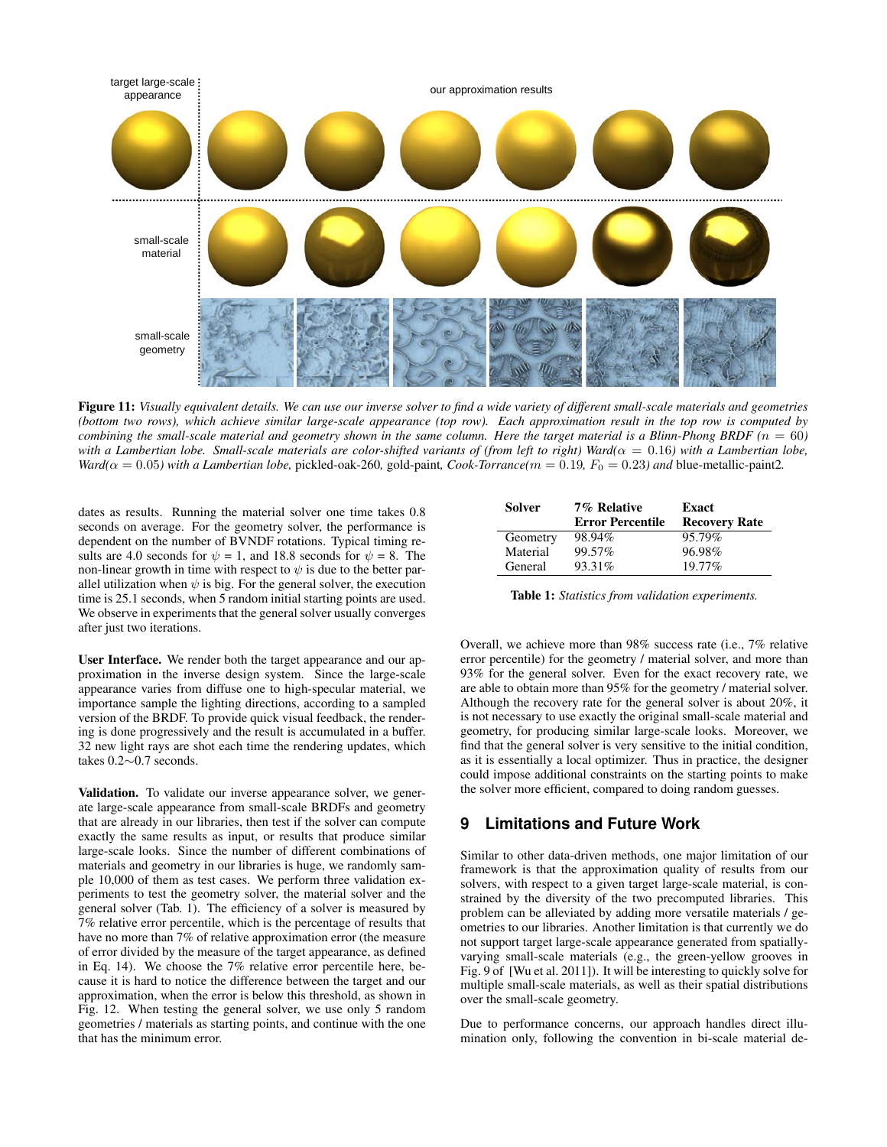<span id="page-7-0"></span>

Figure 11: *Visually equivalent details. We can use our inverse solver to find a wide variety of different small-scale materials and geometries (bottom two rows), which achieve similar large-scale appearance (top row). Each approximation result in the top row is computed by combining the small-scale material and geometry shown in the same column. Here the target material is a Blinn-Phong BRDF*  $(n = 60)$ *with a Lambertian lobe. Small-scale materials are color-shifted variants of (from left to right) Ward(* $\alpha = 0.16$ *) with a Lambertian lobe, Ward*( $\alpha$  = 0.05*)* with a Lambertian lobe, pickled-oak-260, gold-paint, *Cook-Torrance*( $m$  = 0.19*, F*<sub>0</sub> = 0.23*)* and blue-metallic-paint2.

dates as results. Running the material solver one time takes 0.8 seconds on average. For the geometry solver, the performance is dependent on the number of BVNDF rotations. Typical timing results are 4.0 seconds for  $\psi = 1$ , and 18.8 seconds for  $\psi = 8$ . The non-linear growth in time with respect to  $\psi$  is due to the better parallel utilization when  $\psi$  is big. For the general solver, the execution time is 25.1 seconds, when 5 random initial starting points are used. We observe in experiments that the general solver usually converges after just two iterations.

User Interface. We render both the target appearance and our approximation in the inverse design system. Since the large-scale appearance varies from diffuse one to high-specular material, we importance sample the lighting directions, according to a sampled version of the BRDF. To provide quick visual feedback, the rendering is done progressively and the result is accumulated in a buffer. 32 new light rays are shot each time the rendering updates, which takes 0.2∼0.7 seconds.

Validation. To validate our inverse appearance solver, we generate large-scale appearance from small-scale BRDFs and geometry that are already in our libraries, then test if the solver can compute exactly the same results as input, or results that produce similar large-scale looks. Since the number of different combinations of materials and geometry in our libraries is huge, we randomly sample 10,000 of them as test cases. We perform three validation experiments to test the geometry solver, the material solver and the general solver (Tab. [1\)](#page-7-1). The efficiency of a solver is measured by 7% relative error percentile, which is the percentage of results that have no more than 7% of relative approximation error (the measure of error divided by the measure of the target appearance, as defined in Eq. [14\)](#page-4-4). We choose the 7% relative error percentile here, because it is hard to notice the difference between the target and our approximation, when the error is below this threshold, as shown in Fig. [12.](#page-8-9) When testing the general solver, we use only 5 random geometries / materials as starting points, and continue with the one that has the minimum error.

<span id="page-7-1"></span>

| Solver   | 7% Relative             | Exact                |
|----------|-------------------------|----------------------|
|          | <b>Error Percentile</b> | <b>Recovery Rate</b> |
| Geometry | 98.94%                  | 95.79%               |
| Material | 99.57%                  | 96.98%               |
| General  | 93.31\%                 | 19.77%               |

Table 1: *Statistics from validation experiments.*

Overall, we achieve more than 98% success rate (i.e., 7% relative error percentile) for the geometry / material solver, and more than 93% for the general solver. Even for the exact recovery rate, we are able to obtain more than 95% for the geometry / material solver. Although the recovery rate for the general solver is about 20%, it is not necessary to use exactly the original small-scale material and geometry, for producing similar large-scale looks. Moreover, we find that the general solver is very sensitive to the initial condition, as it is essentially a local optimizer. Thus in practice, the designer could impose additional constraints on the starting points to make the solver more efficient, compared to doing random guesses.

## **9 Limitations and Future Work**

Similar to other data-driven methods, one major limitation of our framework is that the approximation quality of results from our solvers, with respect to a given target large-scale material, is constrained by the diversity of the two precomputed libraries. This problem can be alleviated by adding more versatile materials / geometries to our libraries. Another limitation is that currently we do not support target large-scale appearance generated from spatiallyvarying small-scale materials (e.g., the green-yellow grooves in Fig. 9 of [\[Wu et al. 2011\]](#page-9-2)). It will be interesting to quickly solve for multiple small-scale materials, as well as their spatial distributions over the small-scale geometry.

Due to performance concerns, our approach handles direct illumination only, following the convention in bi-scale material de-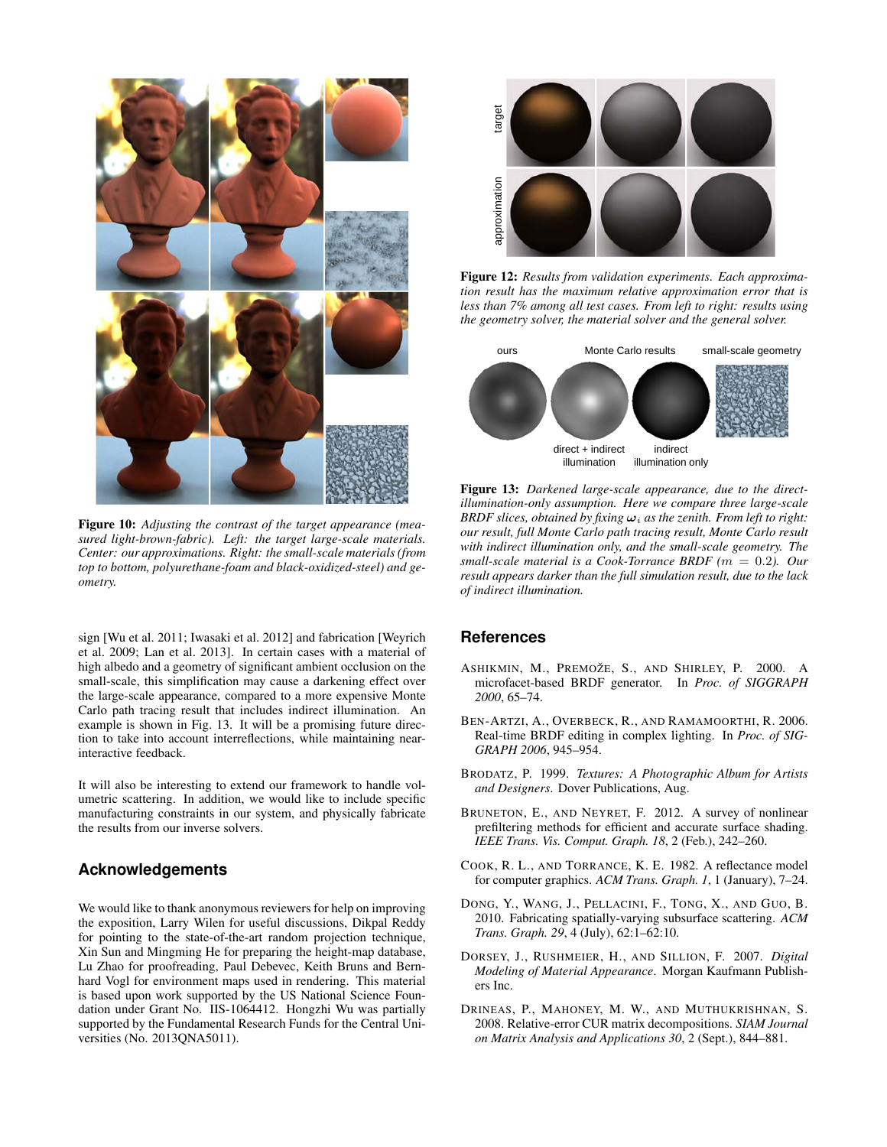<span id="page-8-8"></span>

Figure 10: *Adjusting the contrast of the target appearance (measured light-brown-fabric). Left: the target large-scale materials. Center: our approximations. Right: the small-scale materials (from top to bottom, polyurethane-foam and black-oxidized-steel) and geometry.*

sign [\[Wu et al. 2011;](#page-9-2) [Iwasaki et al. 2012\]](#page-9-3) and fabrication [\[Weyrich](#page-9-5) [et al. 2009;](#page-9-5) [Lan et al. 2013\]](#page-9-14). In certain cases with a material of high albedo and a geometry of significant ambient occlusion on the small-scale, this simplification may cause a darkening effect over the large-scale appearance, compared to a more expensive Monte Carlo path tracing result that includes indirect illumination. An example is shown in Fig. [13.](#page-8-10) It will be a promising future direction to take into account interreflections, while maintaining nearinteractive feedback.

It will also be interesting to extend our framework to handle volumetric scattering. In addition, we would like to include specific manufacturing constraints in our system, and physically fabricate the results from our inverse solvers.

### **Acknowledgements**

We would like to thank anonymous reviewers for help on improving the exposition, Larry Wilen for useful discussions, Dikpal Reddy for pointing to the state-of-the-art random projection technique, Xin Sun and Mingming He for preparing the height-map database, Lu Zhao for proofreading, Paul Debevec, Keith Bruns and Bernhard Vogl for environment maps used in rendering. This material is based upon work supported by the US National Science Foundation under Grant No. IIS-1064412. Hongzhi Wu was partially supported by the Fundamental Research Funds for the Central Universities (No. 2013QNA5011).

<span id="page-8-9"></span>

Figure 12: *Results from validation experiments. Each approximation result has the maximum relative approximation error that is less than 7% among all test cases. From left to right: results using the geometry solver, the material solver and the general solver.*

<span id="page-8-10"></span>

Figure 13: *Darkened large-scale appearance, due to the directillumination-only assumption. Here we compare three large-scale BRDF slices, obtained by fixing*  $\omega_i$  *as the zenith. From left to right: our result, full Monte Carlo path tracing result, Monte Carlo result with indirect illumination only, and the small-scale geometry. The small-scale material is a Cook-Torrance BRDF (*m = 0.2*). Our result appears darker than the full simulation result, due to the lack of indirect illumination.*

### **References**

- <span id="page-8-1"></span>ASHIKMIN, M., PREMOŽE, S., AND SHIRLEY, P. 2000. A microfacet-based BRDF generator. In *Proc. of SIGGRAPH 2000*, 65–74.
- <span id="page-8-5"></span>BEN-ARTZI, A., OVERBECK, R., AND RAMAMOORTHI, R. 2006. Real-time BRDF editing in complex lighting. In *Proc. of SIG-GRAPH 2006*, 945–954.
- <span id="page-8-7"></span>BRODATZ, P. 1999. *Textures: A Photographic Album for Artists and Designers*. Dover Publications, Aug.
- <span id="page-8-0"></span>BRUNETON, E., AND NEYRET, F. 2012. A survey of nonlinear prefiltering methods for efficient and accurate surface shading. *IEEE Trans. Vis. Comput. Graph. 18*, 2 (Feb.), 242–260.
- <span id="page-8-3"></span>COOK, R. L., AND TORRANCE, K. E. 1982. A reflectance model for computer graphics. *ACM Trans. Graph. 1*, 1 (January), 7–24.
- <span id="page-8-4"></span>DONG, Y., WANG, J., PELLACINI, F., TONG, X., AND GUO, B. 2010. Fabricating spatially-varying subsurface scattering. *ACM Trans. Graph. 29*, 4 (July), 62:1–62:10.
- <span id="page-8-6"></span>DORSEY, J., RUSHMEIER, H., AND SILLION, F. 2007. *Digital Modeling of Material Appearance*. Morgan Kaufmann Publishers Inc.
- <span id="page-8-2"></span>DRINEAS, P., MAHONEY, M. W., AND MUTHUKRISHNAN, S. 2008. Relative-error CUR matrix decompositions. *SIAM Journal on Matrix Analysis and Applications 30*, 2 (Sept.), 844–881.